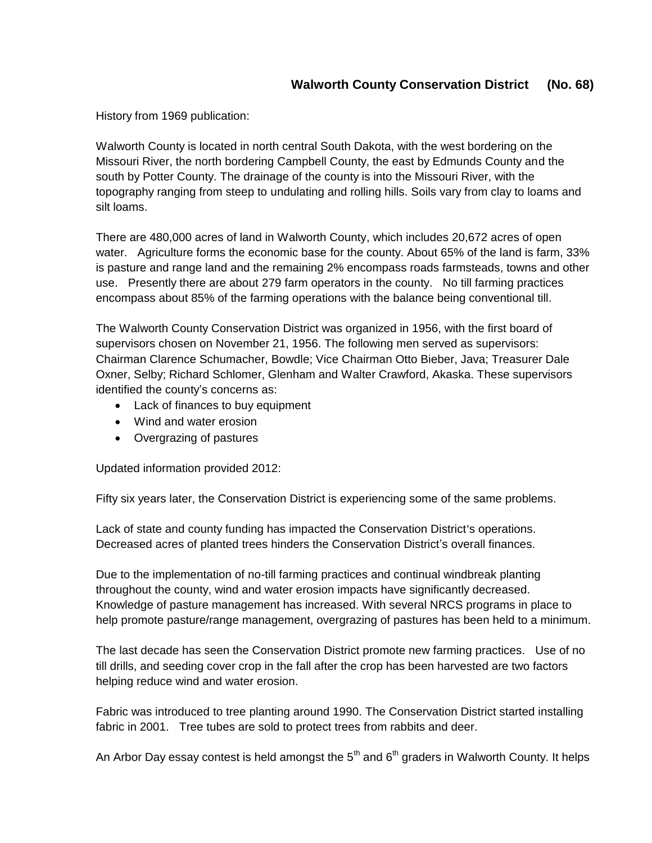History from 1969 publication:

Walworth County is located in north central South Dakota, with the west bordering on the Missouri River, the north bordering Campbell County, the east by Edmunds County and the south by Potter County. The drainage of the county is into the Missouri River, with the topography ranging from steep to undulating and rolling hills. Soils vary from clay to loams and silt loams.

There are 480,000 acres of land in Walworth County, which includes 20,672 acres of open water. Agriculture forms the economic base for the county. About 65% of the land is farm, 33% is pasture and range land and the remaining 2% encompass roads farmsteads, towns and other use. Presently there are about 279 farm operators in the county. No till farming practices encompass about 85% of the farming operations with the balance being conventional till.

The Walworth County Conservation District was organized in 1956, with the first board of supervisors chosen on November 21, 1956. The following men served as supervisors: Chairman Clarence Schumacher, Bowdle; Vice Chairman Otto Bieber, Java; Treasurer Dale Oxner, Selby; Richard Schlomer, Glenham and Walter Crawford, Akaska. These supervisors identified the county's concerns as:

- Lack of finances to buy equipment
- Wind and water erosion
- Overgrazing of pastures

Updated information provided 2012:

Fifty six years later, the Conservation District is experiencing some of the same problems.

Lack of state and county funding has impacted the Conservation District's operations. Decreased acres of planted trees hinders the Conservation District's overall finances.

Due to the implementation of no-till farming practices and continual windbreak planting throughout the county, wind and water erosion impacts have significantly decreased. Knowledge of pasture management has increased. With several NRCS programs in place to help promote pasture/range management, overgrazing of pastures has been held to a minimum.

The last decade has seen the Conservation District promote new farming practices. Use of no till drills, and seeding cover crop in the fall after the crop has been harvested are two factors helping reduce wind and water erosion.

Fabric was introduced to tree planting around 1990. The Conservation District started installing fabric in 2001. Tree tubes are sold to protect trees from rabbits and deer.

An Arbor Day essay contest is held amongst the  $5<sup>th</sup>$  and  $6<sup>th</sup>$  graders in Walworth County. It helps